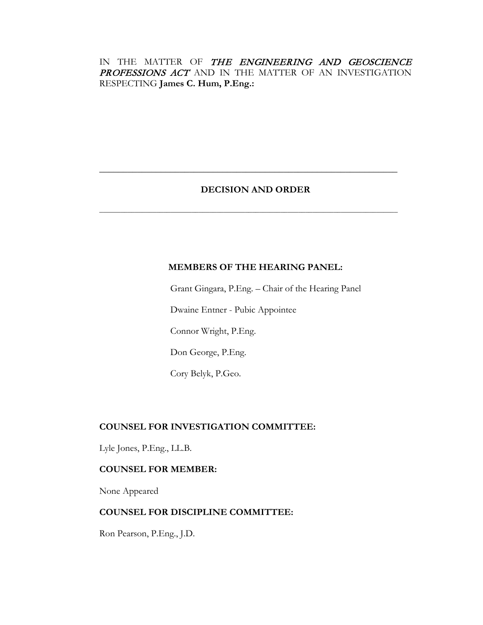# IN THE MATTER OF THE ENGINEERING AND GEOSCIENCE PROFESSIONS ACT AND IN THE MATTER OF AN INVESTIGATION RESPECTING **James C. Hum, P.Eng.:**

# **DECISION AND ORDER**

**\_\_\_\_\_\_\_\_\_\_\_\_\_\_\_\_\_\_\_\_\_\_\_\_\_\_\_\_\_\_\_\_\_\_\_\_\_\_\_\_\_\_\_\_\_\_\_\_\_\_\_\_\_\_\_\_\_\_\_\_\_\_\_**

**\_\_\_\_\_\_\_\_\_\_\_\_\_\_\_\_\_\_\_\_\_\_\_\_\_\_\_\_\_\_\_\_\_\_\_\_\_\_\_\_\_\_\_\_\_\_\_\_\_\_\_\_\_\_\_\_\_\_\_\_\_\_\_\_\_\_\_\_\_\_\_\_\_\_\_\_\_\_\_\_\_\_\_\_**

## **MEMBERS OF THE HEARING PANEL:**

Grant Gingara, P.Eng. – Chair of the Hearing Panel Dwaine Entner - Pubic Appointee Connor Wright, P.Eng.

Don George, P.Eng.

Cory Belyk, P.Geo.

# **COUNSEL FOR INVESTIGATION COMMITTEE:**

Lyle Jones, P.Eng., LL.B.

# **COUNSEL FOR MEMBER:**

None Appeared

## **COUNSEL FOR DISCIPLINE COMMITTEE:**

Ron Pearson, P.Eng., J.D.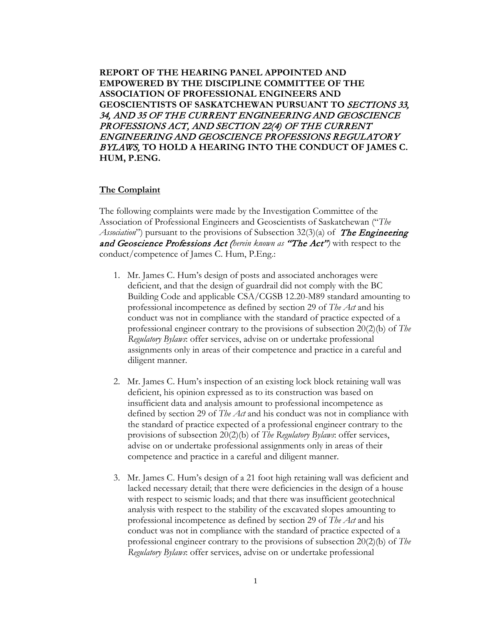**REPORT OF THE HEARING PANEL APPOINTED AND EMPOWERED BY THE DISCIPLINE COMMITTEE OF THE ASSOCIATION OF PROFESSIONAL ENGINEERS AND GEOSCIENTISTS OF SASKATCHEWAN PURSUANT TO** SECTIONS 33, 34, AND 35 OF THE CURRENT ENGINEERING AND GEOSCIENCE PROFESSIONS ACT, AND SECTION 22(4) OF THE CURRENT ENGINEERING AND GEOSCIENCE PROFESSIONS REGULATORY BYLAWS, **TO HOLD A HEARING INTO THE CONDUCT OF JAMES C. HUM, P.ENG.**

### **The Complaint**

The following complaints were made by the Investigation Committee of the Association of Professional Engineers and Geoscientists of Saskatchewan ("*The Association*") pursuant to the provisions of Subsection 32(3)(a) of **The Engineering** and Geoscience Professions Act (*herein known as* "The Act"*)* with respect to the conduct/competence of James C. Hum, P.Eng.:

- 1. Mr. James C. Hum's design of posts and associated anchorages were deficient, and that the design of guardrail did not comply with the BC Building Code and applicable CSA/CGSB 12.20-M89 standard amounting to professional incompetence as defined by section 29 of *The Act* and his conduct was not in compliance with the standard of practice expected of a professional engineer contrary to the provisions of subsection 20(2)(b) of *The Regulatory Bylaws*: offer services, advise on or undertake professional assignments only in areas of their competence and practice in a careful and diligent manner.
- 2. Mr. James C. Hum's inspection of an existing lock block retaining wall was deficient, his opinion expressed as to its construction was based on insufficient data and analysis amount to professional incompetence as defined by section 29 of *The Act* and his conduct was not in compliance with the standard of practice expected of a professional engineer contrary to the provisions of subsection 20(2)(b) of *The Regulatory Bylaws*: offer services, advise on or undertake professional assignments only in areas of their competence and practice in a careful and diligent manner.
- 3. Mr. James C. Hum's design of a 21 foot high retaining wall was deficient and lacked necessary detail; that there were deficiencies in the design of a house with respect to seismic loads; and that there was insufficient geotechnical analysis with respect to the stability of the excavated slopes amounting to professional incompetence as defined by section 29 of *The Act* and his conduct was not in compliance with the standard of practice expected of a professional engineer contrary to the provisions of subsection 20(2)(b) of *The Regulatory Bylaws*: offer services, advise on or undertake professional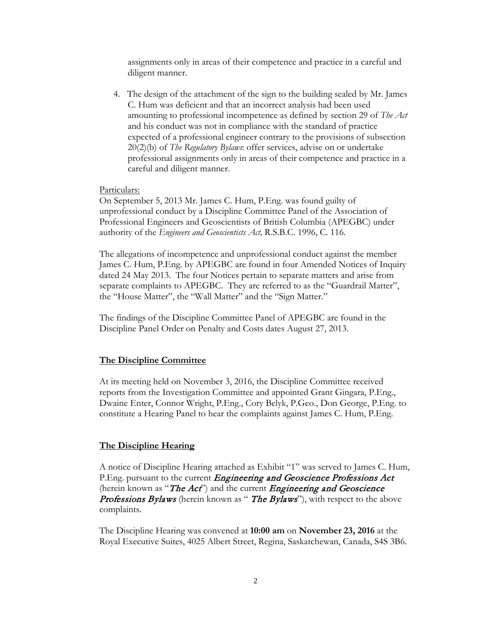assignments only in areas of their competence and practice in a careful and diligent manner.

4. The design of the attachment of the sign to the building sealed by Mr. James C. Hum was deficient and that an incorrect analysis had been used amounting to professional incompetence as defined by section 29 of *The Act*  and his conduct was not in compliance with the standard of practice expected of a professional engineer contrary to the provisions of subsection 20(2)(b) of *The Regulatory Bylaws*: offer services, advise on or undertake professional assignments only in areas of their competence and practice in a careful and diligent manner.

### Particulars:

On September 5, 2013 Mr. James C. Hum, P.Eng. was found guilty of unprofessional conduct by a Discipline Committee Panel of the Association of Professional Engineers and Geoscientists of British Columbia (APEGBC) under authority of the *Engineers and Geoscientists Act,* R.S.B.C. 1996, C. 116.

The allegations of incompetence and unprofessional conduct against the member James C. Hum, P.Eng. by APEGBC are found in four Amended Notices of Inquiry dated 24 May 2013. The four Notices pertain to separate matters and arise from separate complaints to APEGBC. They are referred to as the "Guardrail Matter", the "House Matter", the "Wall Matter" and the "Sign Matter."

The findings of the Discipline Committee Panel of APEGBC are found in the Discipline Panel Order on Penalty and Costs dates August 27, 2013.

### **The Discipline Committee**

At its meeting held on November 3, 2016, the Discipline Committee received reports from the Investigation Committee and appointed Grant Gingara, P.Eng., Dwaine Enter, Connor Wright, P.Eng., Cory Belyk, P.Geo., Don George, P.Eng. to constitute a Hearing Panel to hear the complaints against James C. Hum, P.Eng.

#### **The Discipline Hearing**

A notice of Discipline Hearing attached as Exhibit "1" was served to James C. Hum, P. Eng. pursuant to the current *Engineering and Geoscience Professions Act* (herein known as "The  $Act$ ) and the current Engineering and Geoscience Professions Bylaws (herein known as " The Bylaws"), with respect to the above complaints.

The Discipline Hearing was convened at **10:00 am** on **November 23, 2016** at the Royal Executive Suites, 4025 Albert Street, Regina, Saskatchewan, Canada, S4S 3B6.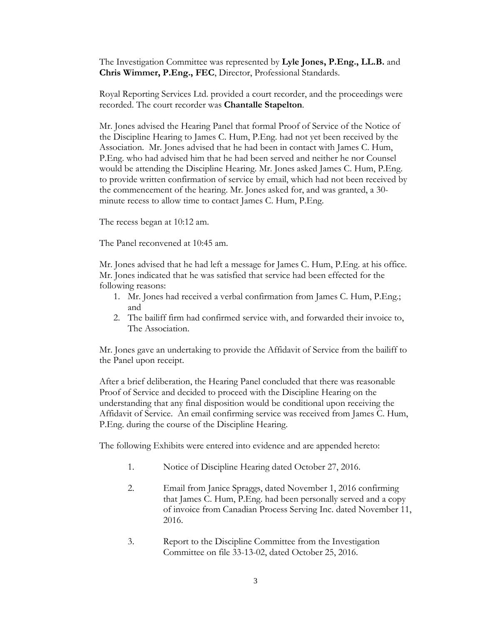The Investigation Committee was represented by **Lyle Jones, P.Eng., LL.B.** and **Chris Wimmer, P.Eng., FEC**, Director, Professional Standards.

Royal Reporting Services Ltd. provided a court recorder, and the proceedings were recorded. The court recorder was **Chantalle Stapelton**.

Mr. Jones advised the Hearing Panel that formal Proof of Service of the Notice of the Discipline Hearing to James C. Hum, P.Eng. had not yet been received by the Association. Mr. Jones advised that he had been in contact with James C. Hum, P.Eng. who had advised him that he had been served and neither he nor Counsel would be attending the Discipline Hearing. Mr. Jones asked James C. Hum, P.Eng. to provide written confirmation of service by email, which had not been received by the commencement of the hearing. Mr. Jones asked for, and was granted, a 30 minute recess to allow time to contact James C. Hum, P.Eng.

The recess began at 10:12 am.

The Panel reconvened at 10:45 am.

Mr. Jones advised that he had left a message for James C. Hum, P.Eng. at his office. Mr. Jones indicated that he was satisfied that service had been effected for the following reasons:

- 1. Mr. Jones had received a verbal confirmation from James C. Hum, P.Eng.; and
- 2. The bailiff firm had confirmed service with, and forwarded their invoice to, The Association.

Mr. Jones gave an undertaking to provide the Affidavit of Service from the bailiff to the Panel upon receipt.

After a brief deliberation, the Hearing Panel concluded that there was reasonable Proof of Service and decided to proceed with the Discipline Hearing on the understanding that any final disposition would be conditional upon receiving the Affidavit of Service. An email confirming service was received from James C. Hum, P.Eng. during the course of the Discipline Hearing.

The following Exhibits were entered into evidence and are appended hereto:

- 1. Notice of Discipline Hearing dated October 27, 2016.
- 2. Email from Janice Spraggs, dated November 1, 2016 confirming that James C. Hum, P.Eng. had been personally served and a copy of invoice from Canadian Process Serving Inc. dated November 11, 2016.
- 3. Report to the Discipline Committee from the Investigation Committee on file 33-13-02, dated October 25, 2016.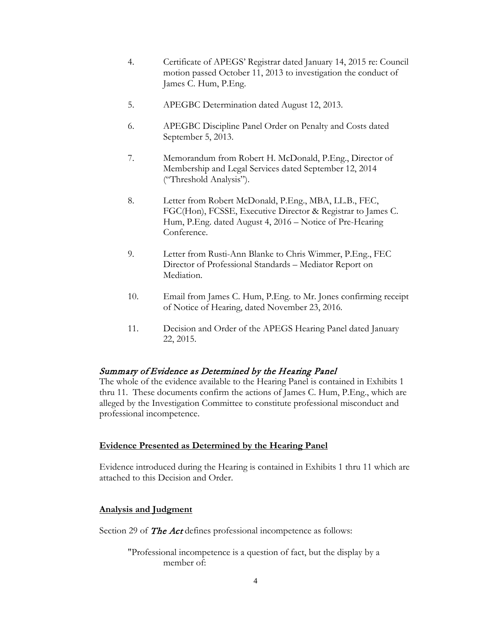- 4. Certificate of APEGS' Registrar dated January 14, 2015 re: Council motion passed October 11, 2013 to investigation the conduct of James C. Hum, P.Eng.
- 5. APEGBC Determination dated August 12, 2013.
- 6. APEGBC Discipline Panel Order on Penalty and Costs dated September 5, 2013.
- 7. Memorandum from Robert H. McDonald, P.Eng., Director of Membership and Legal Services dated September 12, 2014 ("Threshold Analysis").
- 8. Letter from Robert McDonald, P.Eng., MBA, LL.B., FEC, FGC(Hon), FCSSE, Executive Director & Registrar to James C. Hum, P.Eng. dated August 4, 2016 – Notice of Pre-Hearing Conference.
- 9. Letter from Rusti-Ann Blanke to Chris Wimmer, P.Eng., FEC Director of Professional Standards – Mediator Report on Mediation.
- 10. Email from James C. Hum, P.Eng. to Mr. Jones confirming receipt of Notice of Hearing, dated November 23, 2016.
- 11. Decision and Order of the APEGS Hearing Panel dated January 22, 2015.

## Summary of Evidence as Determined by the Hearing Panel

The whole of the evidence available to the Hearing Panel is contained in Exhibits 1 thru 11. These documents confirm the actions of James C. Hum, P.Eng., which are alleged by the Investigation Committee to constitute professional misconduct and professional incompetence.

### **Evidence Presented as Determined by the Hearing Panel**

Evidence introduced during the Hearing is contained in Exhibits 1 thru 11 which are attached to this Decision and Order.

### **Analysis and Judgment**

Section 29 of **The Act** defines professional incompetence as follows:

"Professional incompetence is a question of fact, but the display by a member of: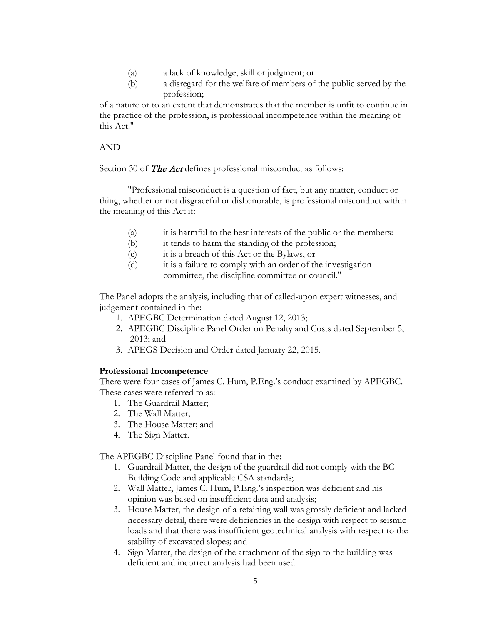- (a) a lack of knowledge, skill or judgment; or
- (b) a disregard for the welfare of members of the public served by the profession;

of a nature or to an extent that demonstrates that the member is unfit to continue in the practice of the profession, is professional incompetence within the meaning of this Act."

## AND

Section 30 of The Act defines professional misconduct as follows:

"Professional misconduct is a question of fact, but any matter, conduct or thing, whether or not disgraceful or dishonorable, is professional misconduct within the meaning of this Act if:

- (a) it is harmful to the best interests of the public or the members:
- (b) it tends to harm the standing of the profession;
- (c) it is a breach of this Act or the Bylaws, or
- (d) it is a failure to comply with an order of the investigation committee, the discipline committee or council."

The Panel adopts the analysis, including that of called-upon expert witnesses, and judgement contained in the:

- 1. APEGBC Determination dated August 12, 2013;
- 2. APEGBC Discipline Panel Order on Penalty and Costs dated September 5, 2013; and
- 3. APEGS Decision and Order dated January 22, 2015.

## **Professional Incompetence**

There were four cases of James C. Hum, P.Eng.'s conduct examined by APEGBC. These cases were referred to as:

- 1. The Guardrail Matter;
- 2. The Wall Matter;
- 3. The House Matter; and
- 4. The Sign Matter.

The APEGBC Discipline Panel found that in the:

- 1. Guardrail Matter, the design of the guardrail did not comply with the BC Building Code and applicable CSA standards;
- 2. Wall Matter, James C. Hum, P.Eng.'s inspection was deficient and his opinion was based on insufficient data and analysis;
- 3. House Matter, the design of a retaining wall was grossly deficient and lacked necessary detail, there were deficiencies in the design with respect to seismic loads and that there was insufficient geotechnical analysis with respect to the stability of excavated slopes; and
- 4. Sign Matter, the design of the attachment of the sign to the building was deficient and incorrect analysis had been used.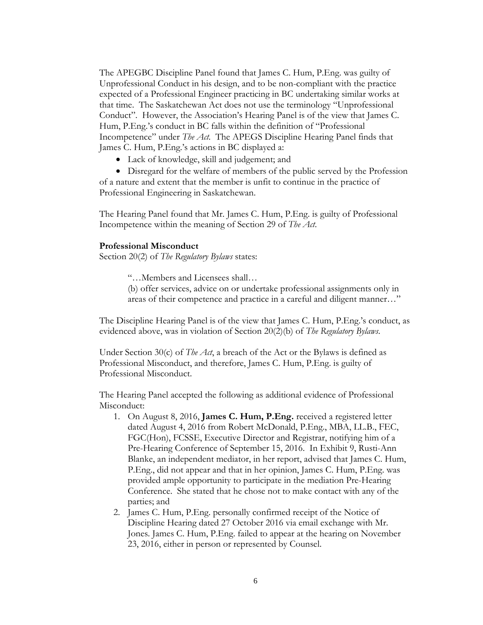The APEGBC Discipline Panel found that James C. Hum, P.Eng. was guilty of Unprofessional Conduct in his design, and to be non-compliant with the practice expected of a Professional Engineer practicing in BC undertaking similar works at that time. The Saskatchewan Act does not use the terminology "Unprofessional Conduct". However, the Association's Hearing Panel is of the view that James C. Hum, P.Eng.'s conduct in BC falls within the definition of "Professional Incompetence" under *The Act.* The APEGS Discipline Hearing Panel finds that James C. Hum, P.Eng.'s actions in BC displayed a:

• Lack of knowledge, skill and judgement; and

• Disregard for the welfare of members of the public served by the Profession of a nature and extent that the member is unfit to continue in the practice of Professional Engineering in Saskatchewan.

The Hearing Panel found that Mr. James C. Hum, P.Eng. is guilty of Professional Incompetence within the meaning of Section 29 of *The Act*.

#### **Professional Misconduct**

Section 20(2) of *The Regulatory Bylaws* states:

"…Members and Licensees shall…

(b) offer services, advice on or undertake professional assignments only in areas of their competence and practice in a careful and diligent manner…"

The Discipline Hearing Panel is of the view that James C. Hum, P.Eng.'s conduct, as evidenced above, was in violation of Section 20(2)(b) of *The Regulatory Bylaws*.

Under Section 30(c) of *The Act*, a breach of the Act or the Bylaws is defined as Professional Misconduct, and therefore, James C. Hum, P.Eng. is guilty of Professional Misconduct.

The Hearing Panel accepted the following as additional evidence of Professional Misconduct:

- 1. On August 8, 2016, **James C. Hum, P.Eng.** received a registered letter dated August 4, 2016 from Robert McDonald, P.Eng., MBA, LL.B., FEC, FGC(Hon), FCSSE, Executive Director and Registrar, notifying him of a Pre-Hearing Conference of September 15, 2016. In Exhibit 9, Rusti-Ann Blanke, an independent mediator, in her report, advised that James C. Hum, P.Eng., did not appear and that in her opinion, James C. Hum, P.Eng. was provided ample opportunity to participate in the mediation Pre-Hearing Conference. She stated that he chose not to make contact with any of the parties; and
- 2. James C. Hum, P.Eng. personally confirmed receipt of the Notice of Discipline Hearing dated 27 October 2016 via email exchange with Mr. Jones. James C. Hum, P.Eng. failed to appear at the hearing on November 23, 2016, either in person or represented by Counsel.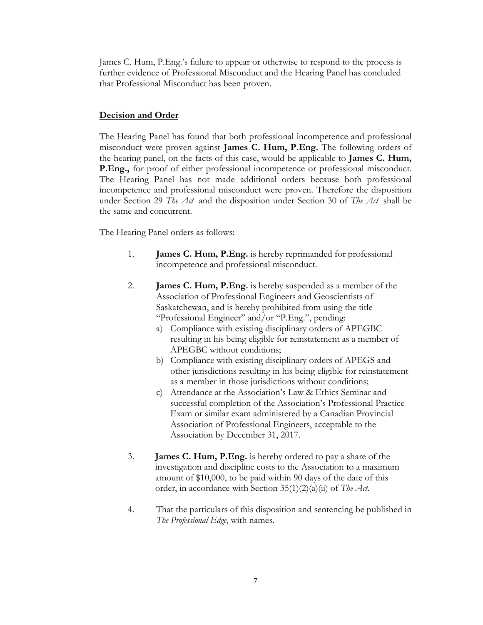James C. Hum, P.Eng.'s failure to appear or otherwise to respond to the process is further evidence of Professional Misconduct and the Hearing Panel has concluded that Professional Misconduct has been proven.

## **Decision and Order**

The Hearing Panel has found that both professional incompetence and professional misconduct were proven against **James C. Hum, P.Eng.** The following orders of the hearing panel, on the facts of this case, would be applicable to **James C. Hum, P.Eng.,** for proof of either professional incompetence or professional misconduct. The Hearing Panel has not made additional orders because both professional incompetence and professional misconduct were proven. Therefore the disposition under Section 29 *The Act* and the disposition under Section 30 of *The Act* shall be the same and concurrent.

The Hearing Panel orders as follows:

- 1. **James C. Hum, P.Eng.** is hereby reprimanded for professional incompetence and professional misconduct.
- 2. **James C. Hum, P.Eng.** is hereby suspended as a member of the Association of Professional Engineers and Geoscientists of Saskatchewan, and is hereby prohibited from using the title "Professional Engineer" and/or "P.Eng.", pending:
	- a) Compliance with existing disciplinary orders of APEGBC resulting in his being eligible for reinstatement as a member of APEGBC without conditions;
	- b) Compliance with existing disciplinary orders of APEGS and other jurisdictions resulting in his being eligible for reinstatement as a member in those jurisdictions without conditions;
	- c) Attendance at the Association's Law & Ethics Seminar and successful completion of the Association's Professional Practice Exam or similar exam administered by a Canadian Provincial Association of Professional Engineers, acceptable to the Association by December 31, 2017.
- 3. **James C. Hum, P.Eng.** is hereby ordered to pay a share of the investigation and discipline costs to the Association to a maximum amount of \$10,000, to be paid within 90 days of the date of this order, in accordance with Section 35(1)(2)(a)(ii) of *The Act*.
- 4. That the particulars of this disposition and sentencing be published in *The Professional Edge*, with names.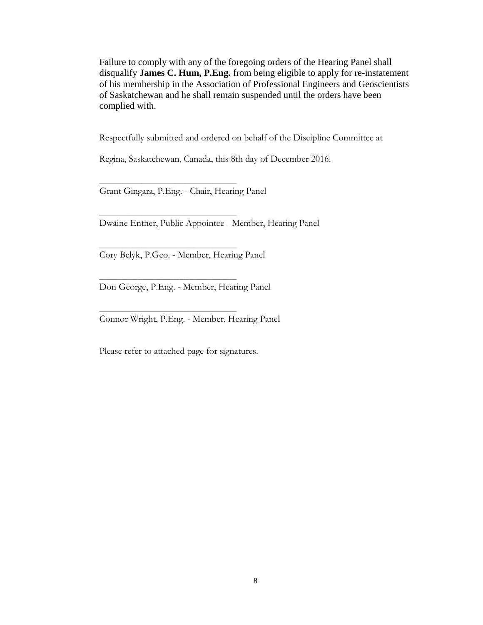Failure to comply with any of the foregoing orders of the Hearing Panel shall disqualify **James C. Hum, P.Eng.** from being eligible to apply for re-instatement of his membership in the Association of Professional Engineers and Geoscientists of Saskatchewan and he shall remain suspended until the orders have been complied with.

Respectfully submitted and ordered on behalf of the Discipline Committee at

Regina, Saskatchewan, Canada, this 8th day of December 2016.

Grant Gingara, P.Eng. - Chair, Hearing Panel

 $\overline{\phantom{a}}$  , where  $\overline{\phantom{a}}$  , where  $\overline{\phantom{a}}$  , where  $\overline{\phantom{a}}$ 

 $\overline{\phantom{a}}$  , where  $\overline{\phantom{a}}$  , where  $\overline{\phantom{a}}$  , where  $\overline{\phantom{a}}$ 

 $\overline{\phantom{a}}$  , where  $\overline{\phantom{a}}$  , where  $\overline{\phantom{a}}$  , where  $\overline{\phantom{a}}$ 

 $\overline{\phantom{a}}$  , where  $\overline{\phantom{a}}$  , where  $\overline{\phantom{a}}$  , where  $\overline{\phantom{a}}$ 

 $\overline{\phantom{a}}$  , where  $\overline{\phantom{a}}$  , where  $\overline{\phantom{a}}$  , where  $\overline{\phantom{a}}$ 

Dwaine Entner, Public Appointee - Member, Hearing Panel

Cory Belyk, P.Geo. - Member, Hearing Panel

Don George, P.Eng. - Member, Hearing Panel

Connor Wright, P.Eng. - Member, Hearing Panel

Please refer to attached page for signatures.